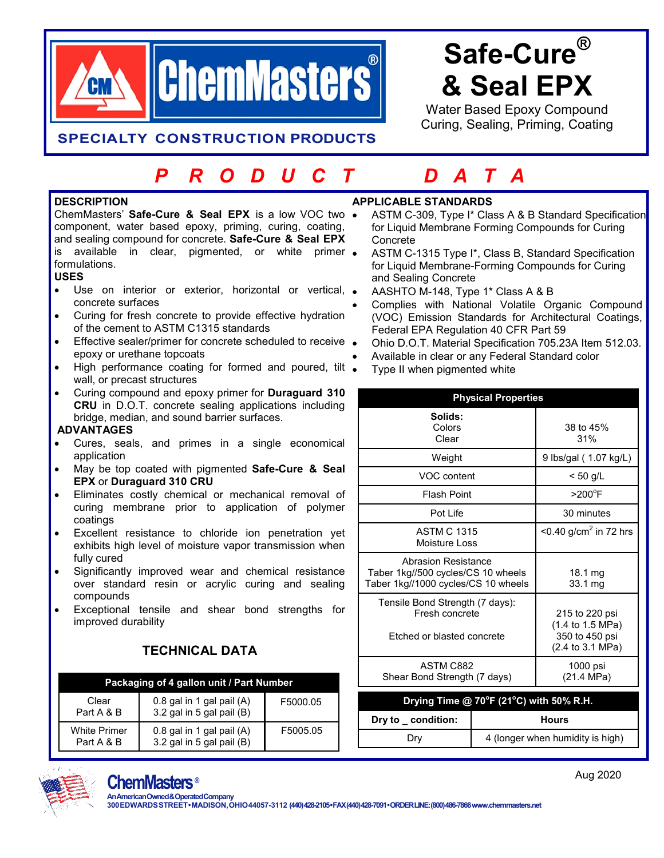

# **Safe-Cure® & Seal EPX**

Water Based Epoxy Compound Curing, Sealing, Priming, Coating

## **SPECIALTY CONSTRUCTION PRODUCTS**

## *P R O D U C T D A T A*

#### **DESCRIPTION**

ChemMasters' **Safe-Cure & Seal EPX** is a low VOC two component, water based epoxy, priming, curing, coating, and sealing compound for concrete. **Safe-Cure & Seal EPX**  is available in clear, pigmented, or white primer • formulations.

### **USES**

- Use on interior or exterior, horizontal or vertical, concrete surfaces
- Curing for fresh concrete to provide effective hydration of the cement to ASTM C1315 standards
- **Effective sealer/primer for concrete scheduled to receive .** epoxy or urethane topcoats
- High performance coating for formed and poured, tilt . wall, or precast structures
- Curing compound and epoxy primer for **Duraguard 310 CRU** in D.O.T. concrete sealing applications including bridge, median, and sound barrier surfaces.

#### **ADVANTAGES**

- Cures, seals, and primes in a single economical application
- May be top coated with pigmented **Safe-Cure & Seal EPX** or **Duraguard 310 CRU**
- Eliminates costly chemical or mechanical removal of curing membrane prior to application of polymer coatings
- Excellent resistance to chloride ion penetration yet exhibits high level of moisture vapor transmission when fully cured
- Significantly improved wear and chemical resistance over standard resin or acrylic curing and sealing compounds
- Exceptional tensile and shear bond strengths for improved durability

## **TECHNICAL DATA**

#### **Packaging of 4 gallon unit / Part Number**

| Clear<br>Part A & B               | 0.8 gal in 1 gal pail (A)<br>3.2 gal in 5 gal pail (B) | F5000.05 |
|-----------------------------------|--------------------------------------------------------|----------|
| <b>White Primer</b><br>Part A & B | 0.8 gal in 1 gal pail (A)<br>3.2 gal in 5 gal pail (B) | F5005.05 |

## **APPLICABLE STANDARDS**

- ASTM C-309, Type I\* Class A & B Standard Specification for Liquid Membrane Forming Compounds for Curing **Concrete**
- ASTM C-1315 Type I\*, Class B, Standard Specification for Liquid Membrane-Forming Compounds for Curing and Sealing Concrete
- AASHTO M-148, Type 1\* Class A & B
- Complies with National Volatile Organic Compound (VOC) Emission Standards for Architectural Coatings, Federal EPA Regulation 40 CFR Part 59
- Ohio D.O.T. Material Specification 705.23A Item 512.03.
- Available in clear or any Federal Standard color
- Type II when pigmented white

| <b>Physical Properties</b>                                                                              |                                  |                                                                          |  |  |
|---------------------------------------------------------------------------------------------------------|----------------------------------|--------------------------------------------------------------------------|--|--|
| Solids:<br>Colors<br>Clear                                                                              |                                  | 38 to 45%<br>31%                                                         |  |  |
| Weight                                                                                                  |                                  | 9 lbs/gal (1.07 kg/L)                                                    |  |  |
| VOC content                                                                                             |                                  | $< 50$ g/L                                                               |  |  |
| <b>Flash Point</b>                                                                                      |                                  | $>200^{\circ}$ F                                                         |  |  |
| Pot Life                                                                                                |                                  | 30 minutes                                                               |  |  |
| <b>ASTM C 1315</b><br>Moisture Loss                                                                     |                                  | $<$ 0.40 g/cm <sup>2</sup> in 72 hrs                                     |  |  |
| <b>Abrasion Resistance</b><br>Taber 1kg//500 cycles/CS 10 wheels<br>Taber 1kg//1000 cycles/CS 10 wheels |                                  | $18.1 \,\mathrm{mg}$<br>33.1 mg                                          |  |  |
| Tensile Bond Strength (7 days):<br>Fresh concrete<br>Etched or blasted concrete                         |                                  | 215 to 220 psi<br>(1.4 to 1.5 MPa)<br>350 to 450 psi<br>(2.4 to 3.1 MPa) |  |  |
| ASTM C882<br>Shear Bond Strength (7 days)                                                               |                                  | 1000 psi<br>(21.4 MPa)                                                   |  |  |
| Drying Time @ 70°F (21°C) with 50% R.H.                                                                 |                                  |                                                                          |  |  |
| Dry to _ condition:                                                                                     | <b>Hours</b>                     |                                                                          |  |  |
| Dry                                                                                                     | 4 (longer when humidity is high) |                                                                          |  |  |



## **ChemMasters ®**

**An American Owned & Operated Company 300 EDWARDS STREET • MADISON, OHIO 44057-3112 (440) 428-2105 •FAX (440) 428-7091 • ORDER LINE: (800) 486-7866 [www.chemmasters.net](http://www.chemmasters.net/)**